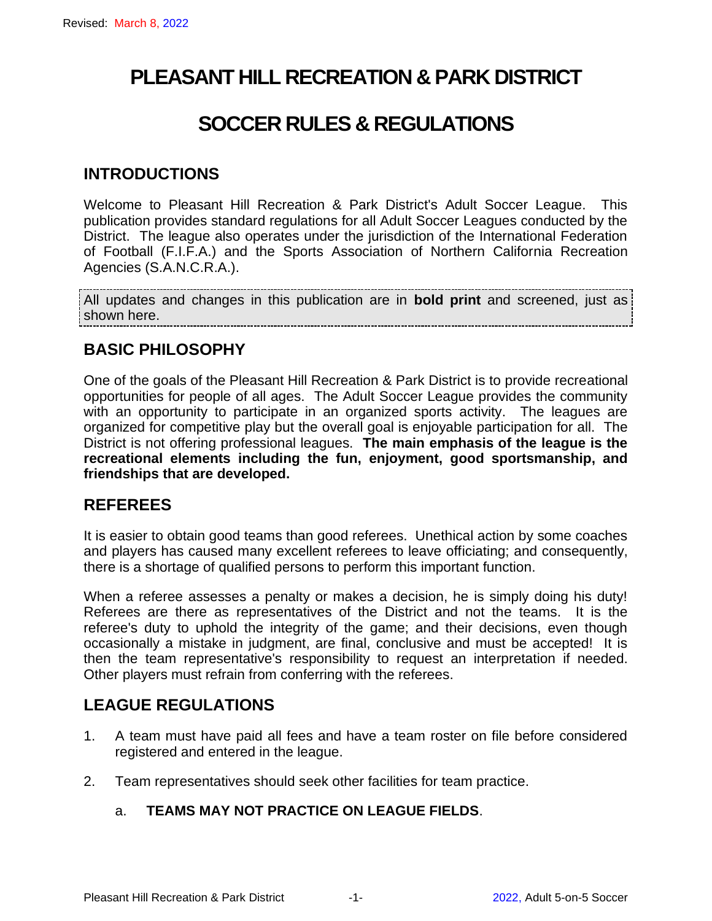# **PLEASANT HILL RECREATION & PARK DISTRICT**

# **SOCCER RULES & REGULATIONS**

#### **INTRODUCTIONS**

Welcome to Pleasant Hill Recreation & Park District's Adult Soccer League. This publication provides standard regulations for all Adult Soccer Leagues conducted by the District. The league also operates under the jurisdiction of the International Federation of Football (F.I.F.A.) and the Sports Association of Northern California Recreation Agencies (S.A.N.C.R.A.).

All updates and changes in this publication are in **bold print** and screened, just as shown here.

### **BASIC PHILOSOPHY**

One of the goals of the Pleasant Hill Recreation & Park District is to provide recreational opportunities for people of all ages. The Adult Soccer League provides the community with an opportunity to participate in an organized sports activity. The leagues are organized for competitive play but the overall goal is enjoyable participation for all. The District is not offering professional leagues. **The main emphasis of the league is the recreational elements including the fun, enjoyment, good sportsmanship, and friendships that are developed.**

#### **REFEREES**

It is easier to obtain good teams than good referees. Unethical action by some coaches and players has caused many excellent referees to leave officiating; and consequently, there is a shortage of qualified persons to perform this important function.

When a referee assesses a penalty or makes a decision, he is simply doing his duty! Referees are there as representatives of the District and not the teams. It is the referee's duty to uphold the integrity of the game; and their decisions, even though occasionally a mistake in judgment, are final, conclusive and must be accepted! It is then the team representative's responsibility to request an interpretation if needed. Other players must refrain from conferring with the referees.

### **LEAGUE REGULATIONS**

- 1. A team must have paid all fees and have a team roster on file before considered registered and entered in the league.
- 2. Team representatives should seek other facilities for team practice.

#### a. **TEAMS MAY NOT PRACTICE ON LEAGUE FIELDS**.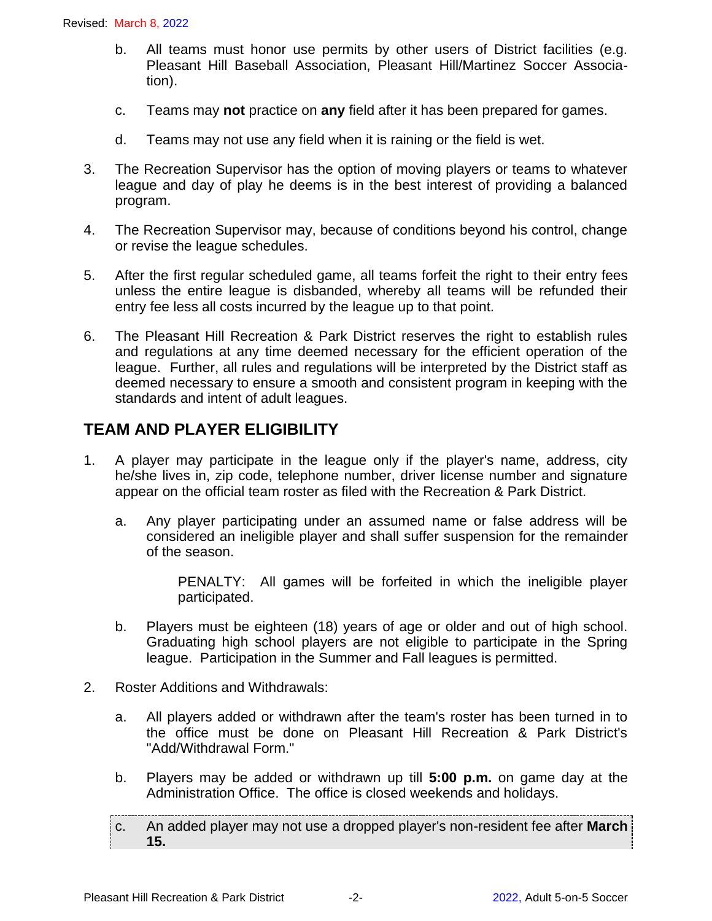- b. All teams must honor use permits by other users of District facilities (e.g. Pleasant Hill Baseball Association, Pleasant Hill/Martinez Soccer Association).
- c. Teams may **not** practice on **any** field after it has been prepared for games.
- d. Teams may not use any field when it is raining or the field is wet.
- 3. The Recreation Supervisor has the option of moving players or teams to whatever league and day of play he deems is in the best interest of providing a balanced program.
- 4. The Recreation Supervisor may, because of conditions beyond his control, change or revise the league schedules.
- 5. After the first regular scheduled game, all teams forfeit the right to their entry fees unless the entire league is disbanded, whereby all teams will be refunded their entry fee less all costs incurred by the league up to that point.
- 6. The Pleasant Hill Recreation & Park District reserves the right to establish rules and regulations at any time deemed necessary for the efficient operation of the league. Further, all rules and regulations will be interpreted by the District staff as deemed necessary to ensure a smooth and consistent program in keeping with the standards and intent of adult leagues.

# **TEAM AND PLAYER ELIGIBILITY**

- 1. A player may participate in the league only if the player's name, address, city he/she lives in, zip code, telephone number, driver license number and signature appear on the official team roster as filed with the Recreation & Park District.
	- a. Any player participating under an assumed name or false address will be considered an ineligible player and shall suffer suspension for the remainder of the season.

PENALTY: All games will be forfeited in which the ineligible player participated.

- b. Players must be eighteen (18) years of age or older and out of high school. Graduating high school players are not eligible to participate in the Spring league. Participation in the Summer and Fall leagues is permitted.
- 2. Roster Additions and Withdrawals:
	- a. All players added or withdrawn after the team's roster has been turned in to the office must be done on Pleasant Hill Recreation & Park District's "Add/Withdrawal Form."
	- b. Players may be added or withdrawn up till **5:00 p.m.** on game day at the Administration Office. The office is closed weekends and holidays.

c. An added player may not use a dropped player's non-resident fee after **March 15.**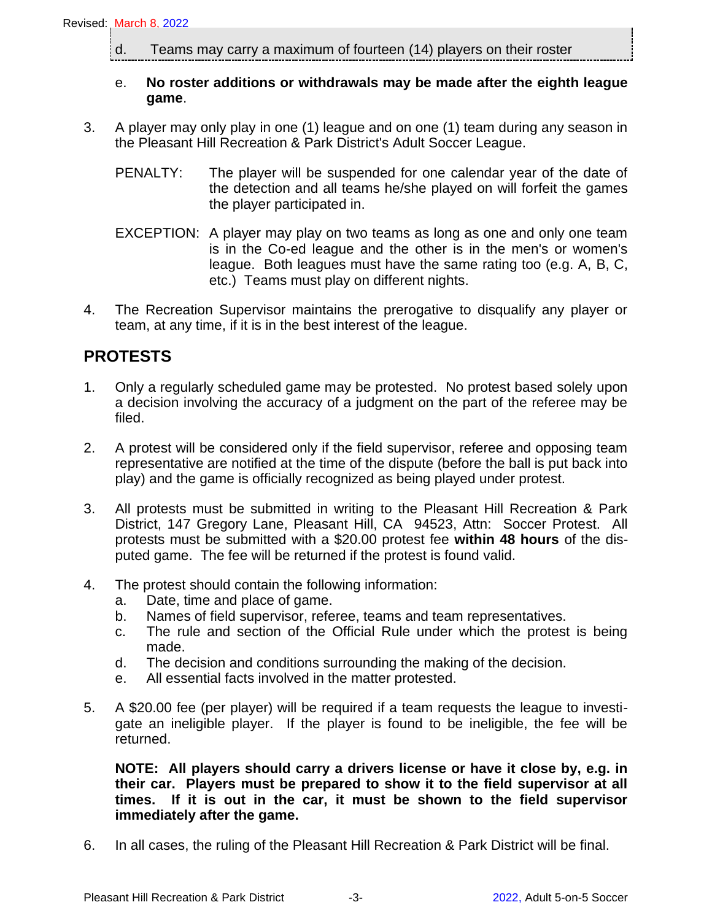d. Teams may carry a maximum of fourteen (14) players on their roster

#### e. **No roster additions or withdrawals may be made after the eighth league game**.

- 3. A player may only play in one (1) league and on one (1) team during any season in the Pleasant Hill Recreation & Park District's Adult Soccer League.
	- PENALTY: The player will be suspended for one calendar year of the date of the detection and all teams he/she played on will forfeit the games the player participated in.
	- EXCEPTION: A player may play on two teams as long as one and only one team is in the Co-ed league and the other is in the men's or women's league. Both leagues must have the same rating too (e.g. A, B, C, etc.) Teams must play on different nights.
- 4. The Recreation Supervisor maintains the prerogative to disqualify any player or team, at any time, if it is in the best interest of the league.

### **PROTESTS**

- 1. Only a regularly scheduled game may be protested. No protest based solely upon a decision involving the accuracy of a judgment on the part of the referee may be filed.
- 2. A protest will be considered only if the field supervisor, referee and opposing team representative are notified at the time of the dispute (before the ball is put back into play) and the game is officially recognized as being played under protest.
- 3. All protests must be submitted in writing to the Pleasant Hill Recreation & Park District, 147 Gregory Lane, Pleasant Hill, CA 94523, Attn: Soccer Protest. All protests must be submitted with a \$20.00 protest fee **within 48 hours** of the disputed game. The fee will be returned if the protest is found valid.
- 4. The protest should contain the following information:
	- a. Date, time and place of game.
	- b. Names of field supervisor, referee, teams and team representatives.
	- c. The rule and section of the Official Rule under which the protest is being made.
	- d. The decision and conditions surrounding the making of the decision.
	- e. All essential facts involved in the matter protested.
- 5. A \$20.00 fee (per player) will be required if a team requests the league to investigate an ineligible player. If the player is found to be ineligible, the fee will be returned.

**NOTE: All players should carry a drivers license or have it close by, e.g. in their car. Players must be prepared to show it to the field supervisor at all times. If it is out in the car, it must be shown to the field supervisor immediately after the game.**

6. In all cases, the ruling of the Pleasant Hill Recreation & Park District will be final.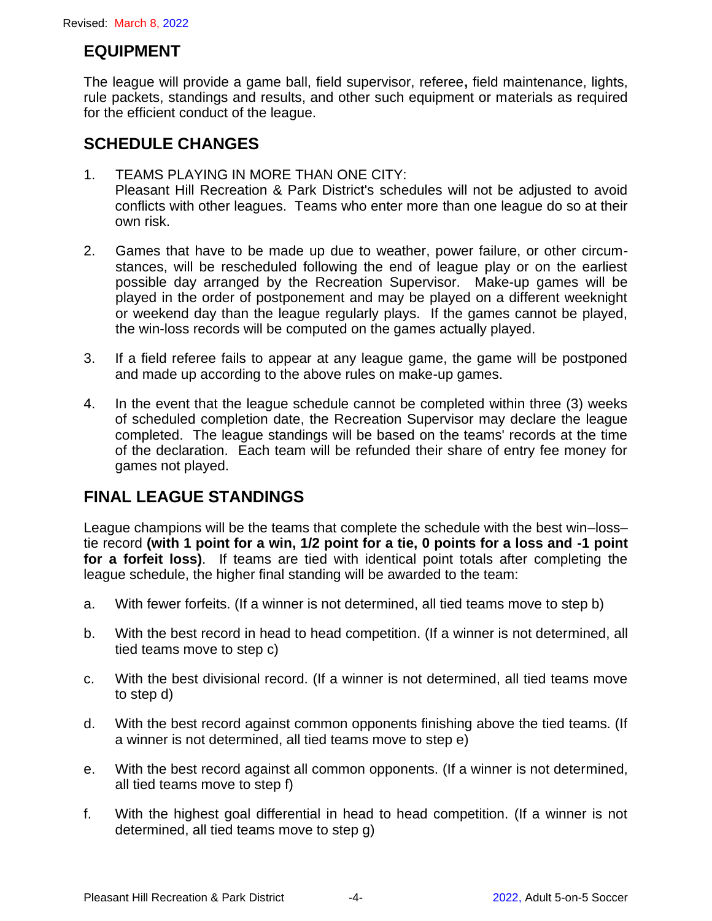### **EQUIPMENT**

The league will provide a game ball, field supervisor, referee**,** field maintenance, lights, rule packets, standings and results, and other such equipment or materials as required for the efficient conduct of the league.

### **SCHEDULE CHANGES**

- 1. TEAMS PLAYING IN MORE THAN ONE CITY: Pleasant Hill Recreation & Park District's schedules will not be adjusted to avoid conflicts with other leagues. Teams who enter more than one league do so at their own risk.
- 2. Games that have to be made up due to weather, power failure, or other circumstances, will be rescheduled following the end of league play or on the earliest possible day arranged by the Recreation Supervisor. Make-up games will be played in the order of postponement and may be played on a different weeknight or weekend day than the league regularly plays. If the games cannot be played, the win-loss records will be computed on the games actually played.
- 3. If a field referee fails to appear at any league game, the game will be postponed and made up according to the above rules on make-up games.
- 4. In the event that the league schedule cannot be completed within three (3) weeks of scheduled completion date, the Recreation Supervisor may declare the league completed. The league standings will be based on the teams' records at the time of the declaration. Each team will be refunded their share of entry fee money for games not played.

### **FINAL LEAGUE STANDINGS**

League champions will be the teams that complete the schedule with the best win–loss– tie record **(with 1 point for a win, 1/2 point for a tie, 0 points for a loss and -1 point for a forfeit loss)**. If teams are tied with identical point totals after completing the league schedule, the higher final standing will be awarded to the team:

- a. With fewer forfeits. (If a winner is not determined, all tied teams move to step b)
- b. With the best record in head to head competition. (If a winner is not determined, all tied teams move to step c)
- c. With the best divisional record. (If a winner is not determined, all tied teams move to step d)
- d. With the best record against common opponents finishing above the tied teams. (If a winner is not determined, all tied teams move to step e)
- e. With the best record against all common opponents. (If a winner is not determined, all tied teams move to step f)
- f. With the highest goal differential in head to head competition. (If a winner is not determined, all tied teams move to step g)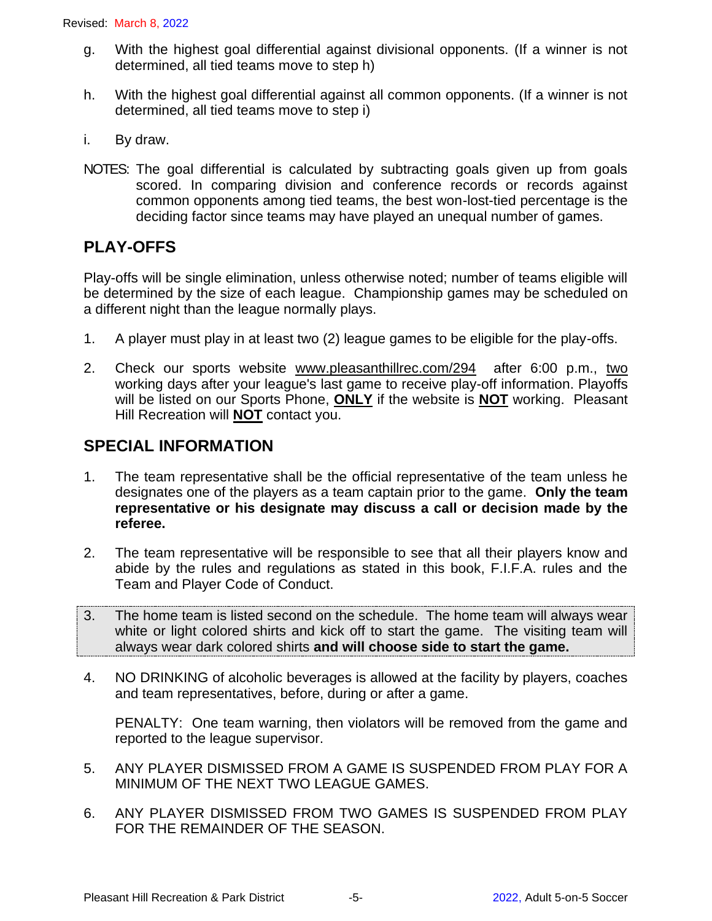- g. With the highest goal differential against divisional opponents. (If a winner is not determined, all tied teams move to step h)
- h. With the highest goal differential against all common opponents. (If a winner is not determined, all tied teams move to step i)
- i. By draw.
- NOTES: The goal differential is calculated by subtracting goals given up from goals scored. In comparing division and conference records or records against common opponents among tied teams, the best won-lost-tied percentage is the deciding factor since teams may have played an unequal number of games.

### **PLAY-OFFS**

Play-offs will be single elimination, unless otherwise noted; number of teams eligible will be determined by the size of each league. Championship games may be scheduled on a different night than the league normally plays.

- 1. A player must play in at least two (2) league games to be eligible for the play-offs.
- 2. Check our sports website [www.pleasanthillrec.com/294](http://www.pleasanthillrec.com/294) after 6:00 p.m., two working days after your league's last game to receive play-off information. Playoffs will be listed on our Sports Phone, **ONLY** if the website is **NOT** working.Pleasant Hill Recreation will **NOT** contact you.

### **SPECIAL INFORMATION**

- 1. The team representative shall be the official representative of the team unless he designates one of the players as a team captain prior to the game. **Only the team representative or his designate may discuss a call or decision made by the referee.**
- 2. The team representative will be responsible to see that all their players know and abide by the rules and regulations as stated in this book, F.I.F.A. rules and the Team and Player Code of Conduct.
- 3. The home team is listed second on the schedule. The home team will always wear white or light colored shirts and kick off to start the game. The visiting team will always wear dark colored shirts **and will choose side to start the game.**
- 4. NO DRINKING of alcoholic beverages is allowed at the facility by players, coaches and team representatives, before, during or after a game.

PENALTY: One team warning, then violators will be removed from the game and reported to the league supervisor.

- 5. ANY PLAYER DISMISSED FROM A GAME IS SUSPENDED FROM PLAY FOR A MINIMUM OF THE NEXT TWO LEAGUE GAMES.
- 6. ANY PLAYER DISMISSED FROM TWO GAMES IS SUSPENDED FROM PLAY FOR THE REMAINDER OF THE SEASON.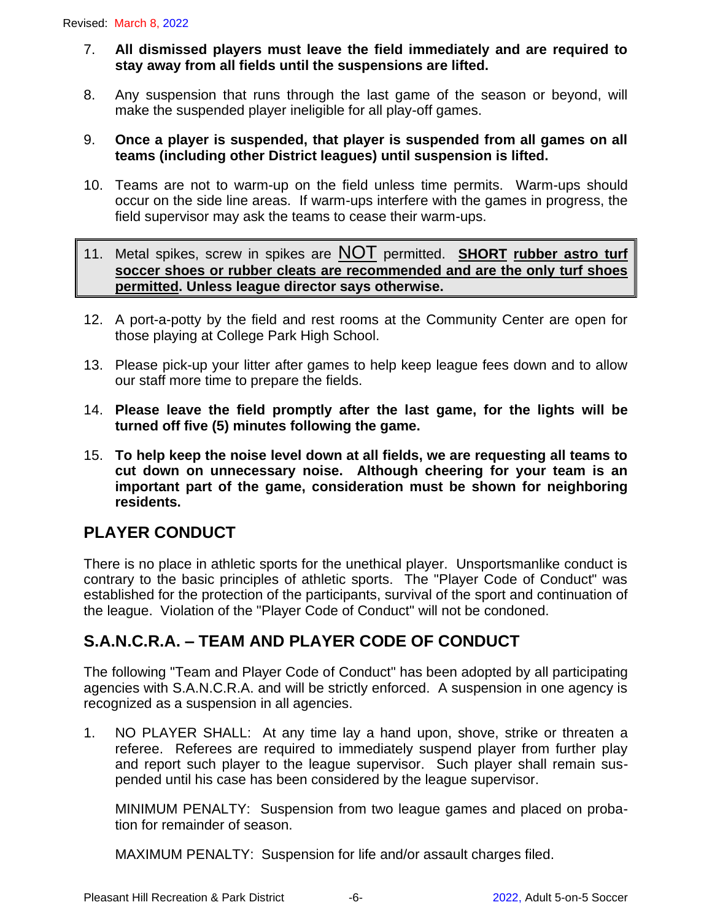- 7. **All dismissed players must leave the field immediately and are required to stay away from all fields until the suspensions are lifted.**
- 8. Any suspension that runs through the last game of the season or beyond, will make the suspended player ineligible for all play-off games.
- 9. **Once a player is suspended, that player is suspended from all games on all teams (including other District leagues) until suspension is lifted.**
- 10. Teams are not to warm-up on the field unless time permits. Warm-ups should occur on the side line areas. If warm-ups interfere with the games in progress, the field supervisor may ask the teams to cease their warm-ups.
- 11. Metal spikes, screw in spikes are NOT permitted. **SHORT rubber astro turf soccer shoes or rubber cleats are recommended and are the only turf shoes permitted. Unless league director says otherwise.**
- 12. A port-a-potty by the field and rest rooms at the Community Center are open for those playing at College Park High School.
- 13. Please pick-up your litter after games to help keep league fees down and to allow our staff more time to prepare the fields.
- 14. **Please leave the field promptly after the last game, for the lights will be turned off five (5) minutes following the game.**
- 15. **To help keep the noise level down at all fields, we are requesting all teams to cut down on unnecessary noise. Although cheering for your team is an important part of the game, consideration must be shown for neighboring residents.**

### **PLAYER CONDUCT**

There is no place in athletic sports for the unethical player. Unsportsmanlike conduct is contrary to the basic principles of athletic sports. The "Player Code of Conduct" was established for the protection of the participants, survival of the sport and continuation of the league. Violation of the "Player Code of Conduct" will not be condoned.

# **S.A.N.C.R.A. – TEAM AND PLAYER CODE OF CONDUCT**

The following "Team and Player Code of Conduct" has been adopted by all participating agencies with S.A.N.C.R.A. and will be strictly enforced. A suspension in one agency is recognized as a suspension in all agencies.

1. NO PLAYER SHALL: At any time lay a hand upon, shove, strike or threaten a referee. Referees are required to immediately suspend player from further play and report such player to the league supervisor. Such player shall remain suspended until his case has been considered by the league supervisor.

MINIMUM PENALTY: Suspension from two league games and placed on probation for remainder of season.

MAXIMUM PENALTY: Suspension for life and/or assault charges filed.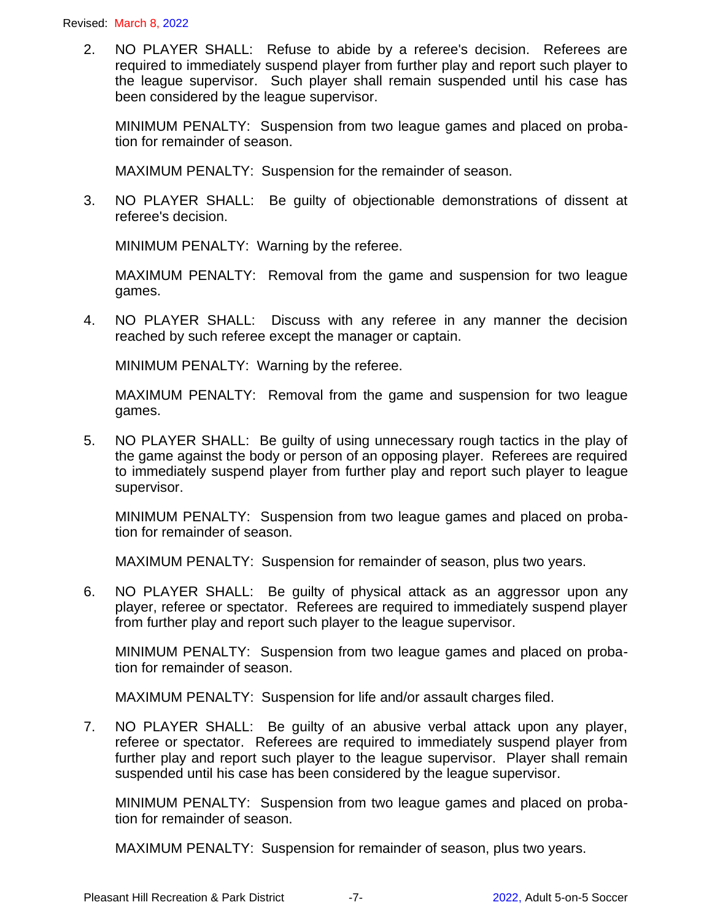2. NO PLAYER SHALL: Refuse to abide by a referee's decision. Referees are required to immediately suspend player from further play and report such player to the league supervisor. Such player shall remain suspended until his case has been considered by the league supervisor.

MINIMUM PENALTY: Suspension from two league games and placed on probation for remainder of season.

MAXIMUM PENALTY: Suspension for the remainder of season.

3. NO PLAYER SHALL: Be guilty of objectionable demonstrations of dissent at referee's decision.

MINIMUM PENALTY: Warning by the referee.

MAXIMUM PENALTY: Removal from the game and suspension for two league games.

4. NO PLAYER SHALL: Discuss with any referee in any manner the decision reached by such referee except the manager or captain.

MINIMUM PENALTY: Warning by the referee.

MAXIMUM PENALTY: Removal from the game and suspension for two league games.

5. NO PLAYER SHALL: Be guilty of using unnecessary rough tactics in the play of the game against the body or person of an opposing player. Referees are required to immediately suspend player from further play and report such player to league supervisor.

MINIMUM PENALTY: Suspension from two league games and placed on probation for remainder of season.

MAXIMUM PENALTY: Suspension for remainder of season, plus two years.

6. NO PLAYER SHALL: Be guilty of physical attack as an aggressor upon any player, referee or spectator. Referees are required to immediately suspend player from further play and report such player to the league supervisor.

MINIMUM PENALTY: Suspension from two league games and placed on probation for remainder of season.

MAXIMUM PENALTY: Suspension for life and/or assault charges filed.

7. NO PLAYER SHALL: Be guilty of an abusive verbal attack upon any player, referee or spectator. Referees are required to immediately suspend player from further play and report such player to the league supervisor. Player shall remain suspended until his case has been considered by the league supervisor.

MINIMUM PENALTY: Suspension from two league games and placed on probation for remainder of season.

MAXIMUM PENALTY: Suspension for remainder of season, plus two years.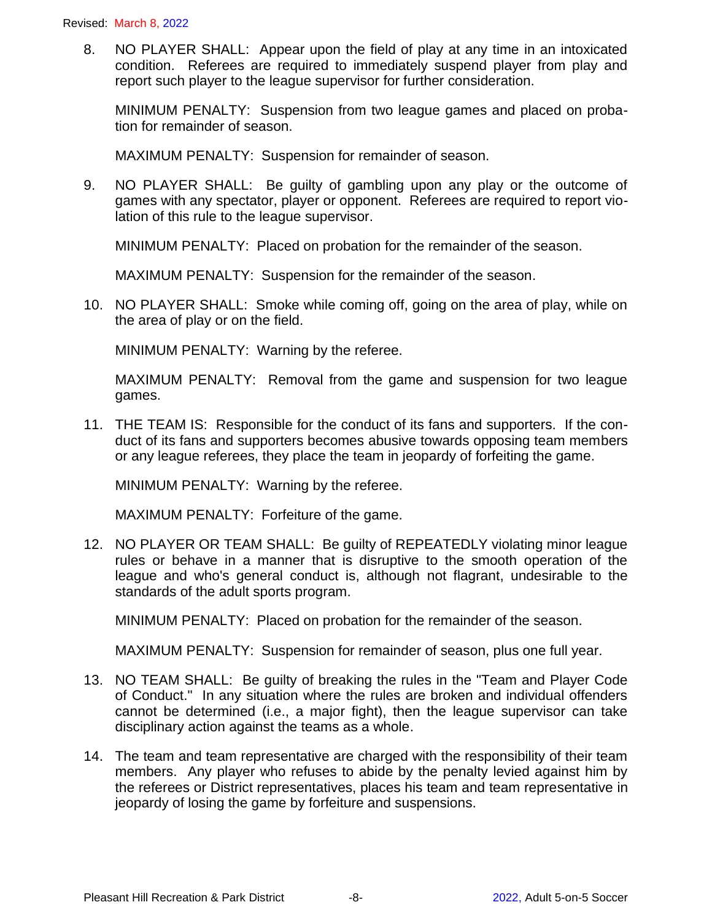8. NO PLAYER SHALL: Appear upon the field of play at any time in an intoxicated condition. Referees are required to immediately suspend player from play and report such player to the league supervisor for further consideration.

MINIMUM PENALTY: Suspension from two league games and placed on probation for remainder of season.

MAXIMUM PENALTY: Suspension for remainder of season.

9. NO PLAYER SHALL: Be guilty of gambling upon any play or the outcome of games with any spectator, player or opponent. Referees are required to report violation of this rule to the league supervisor.

MINIMUM PENALTY: Placed on probation for the remainder of the season.

MAXIMUM PENALTY: Suspension for the remainder of the season.

10. NO PLAYER SHALL: Smoke while coming off, going on the area of play, while on the area of play or on the field.

MINIMUM PENALTY: Warning by the referee.

MAXIMUM PENALTY: Removal from the game and suspension for two league games.

11. THE TEAM IS: Responsible for the conduct of its fans and supporters. If the conduct of its fans and supporters becomes abusive towards opposing team members or any league referees, they place the team in jeopardy of forfeiting the game.

MINIMUM PENALTY: Warning by the referee.

MAXIMUM PENALTY: Forfeiture of the game.

12. NO PLAYER OR TEAM SHALL: Be guilty of REPEATEDLY violating minor league rules or behave in a manner that is disruptive to the smooth operation of the league and who's general conduct is, although not flagrant, undesirable to the standards of the adult sports program.

MINIMUM PENALTY: Placed on probation for the remainder of the season.

MAXIMUM PENALTY: Suspension for remainder of season, plus one full year.

- 13. NO TEAM SHALL: Be guilty of breaking the rules in the "Team and Player Code of Conduct." In any situation where the rules are broken and individual offenders cannot be determined (i.e., a major fight), then the league supervisor can take disciplinary action against the teams as a whole.
- 14. The team and team representative are charged with the responsibility of their team members. Any player who refuses to abide by the penalty levied against him by the referees or District representatives, places his team and team representative in jeopardy of losing the game by forfeiture and suspensions.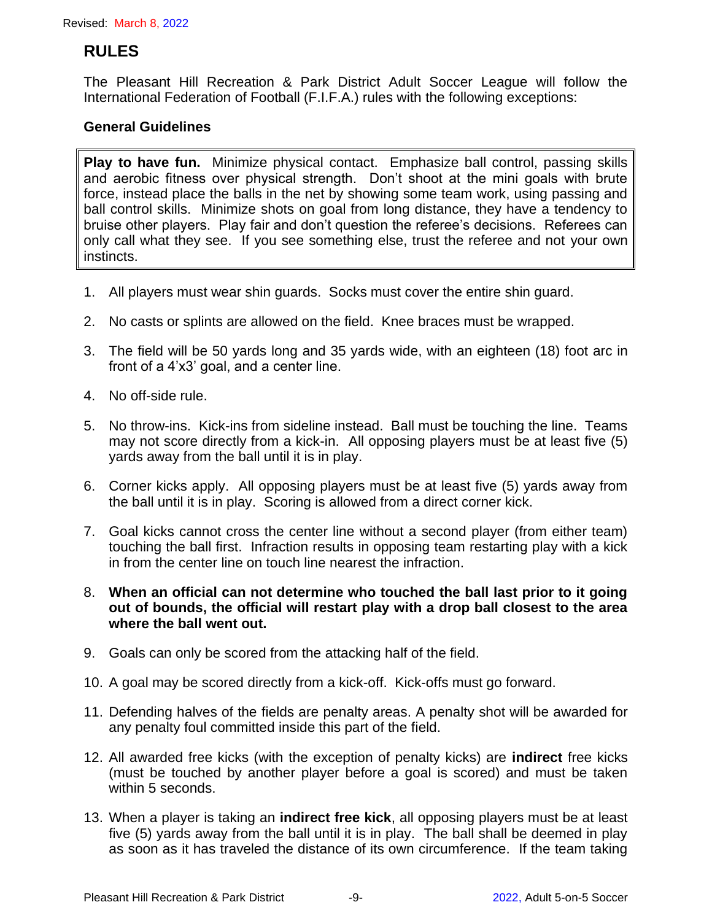### **RULES**

The Pleasant Hill Recreation & Park District Adult Soccer League will follow the International Federation of Football (F.I.F.A.) rules with the following exceptions:

#### **General Guidelines**

**Play to have fun.** Minimize physical contact. Emphasize ball control, passing skills and aerobic fitness over physical strength. Don't shoot at the mini goals with brute force, instead place the balls in the net by showing some team work, using passing and ball control skills. Minimize shots on goal from long distance, they have a tendency to bruise other players. Play fair and don't question the referee's decisions. Referees can only call what they see. If you see something else, trust the referee and not your own instincts.

- 1. All players must wear shin guards. Socks must cover the entire shin guard.
- 2. No casts or splints are allowed on the field. Knee braces must be wrapped.
- 3. The field will be 50 yards long and 35 yards wide, with an eighteen (18) foot arc in front of a 4'x3' goal, and a center line.
- 4. No off-side rule.
- 5. No throw-ins. Kick-ins from sideline instead. Ball must be touching the line. Teams may not score directly from a kick-in. All opposing players must be at least five (5) yards away from the ball until it is in play.
- 6. Corner kicks apply. All opposing players must be at least five (5) yards away from the ball until it is in play. Scoring is allowed from a direct corner kick.
- 7. Goal kicks cannot cross the center line without a second player (from either team) touching the ball first. Infraction results in opposing team restarting play with a kick in from the center line on touch line nearest the infraction.
- 8. **When an official can not determine who touched the ball last prior to it going out of bounds, the official will restart play with a drop ball closest to the area where the ball went out.**
- 9. Goals can only be scored from the attacking half of the field.
- 10. A goal may be scored directly from a kick-off. Kick-offs must go forward.
- 11. Defending halves of the fields are penalty areas. A penalty shot will be awarded for any penalty foul committed inside this part of the field.
- 12. All awarded free kicks (with the exception of penalty kicks) are **indirect** free kicks (must be touched by another player before a goal is scored) and must be taken within 5 seconds.
- 13. When a player is taking an **indirect free kick**, all opposing players must be at least five (5) yards away from the ball until it is in play. The ball shall be deemed in play as soon as it has traveled the distance of its own circumference. If the team taking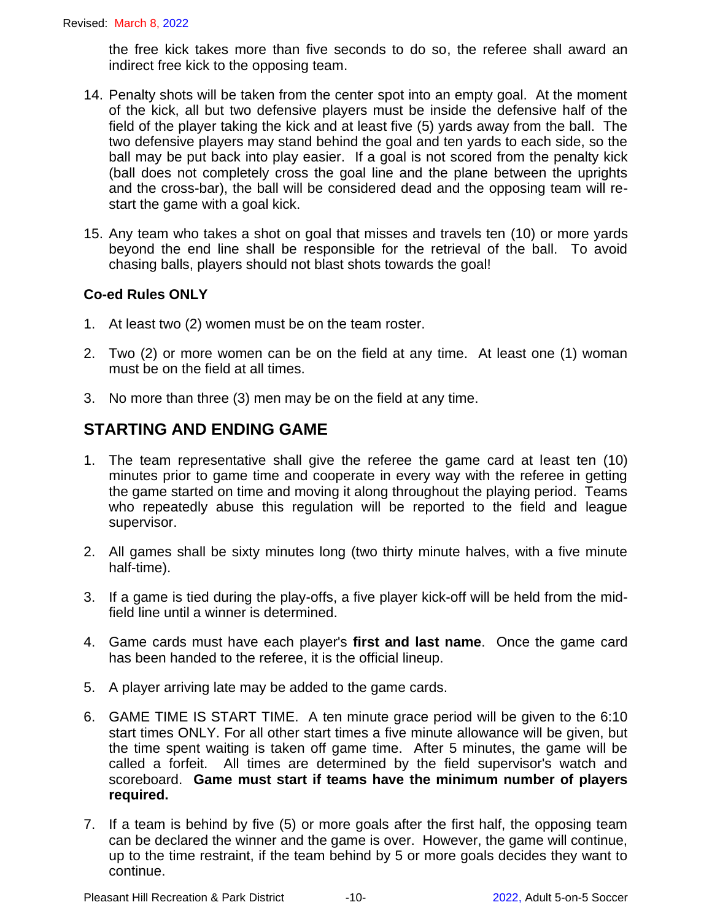the free kick takes more than five seconds to do so, the referee shall award an indirect free kick to the opposing team.

- 14. Penalty shots will be taken from the center spot into an empty goal. At the moment of the kick, all but two defensive players must be inside the defensive half of the field of the player taking the kick and at least five (5) yards away from the ball. The two defensive players may stand behind the goal and ten yards to each side, so the ball may be put back into play easier.If a goal is not scored from the penalty kick (ball does not completely cross the goal line and the plane between the uprights and the cross-bar), the ball will be considered dead and the opposing team will restart the game with a goal kick.
- 15. Any team who takes a shot on goal that misses and travels ten (10) or more yards beyond the end line shall be responsible for the retrieval of the ball. To avoid chasing balls, players should not blast shots towards the goal!

#### **Co-ed Rules ONLY**

- 1. At least two (2) women must be on the team roster.
- 2. Two (2) or more women can be on the field at any time. At least one (1) woman must be on the field at all times.
- 3. No more than three (3) men may be on the field at any time.

# **STARTING AND ENDING GAME**

- 1. The team representative shall give the referee the game card at least ten (10) minutes prior to game time and cooperate in every way with the referee in getting the game started on time and moving it along throughout the playing period. Teams who repeatedly abuse this regulation will be reported to the field and league supervisor.
- 2. All games shall be sixty minutes long (two thirty minute halves, with a five minute half-time).
- 3. If a game is tied during the play-offs, a five player kick-off will be held from the midfield line until a winner is determined.
- 4. Game cards must have each player's **first and last name**. Once the game card has been handed to the referee, it is the official lineup.
- 5. A player arriving late may be added to the game cards.
- 6. GAME TIME IS START TIME. A ten minute grace period will be given to the 6:10 start times ONLY. For all other start times a five minute allowance will be given, but the time spent waiting is taken off game time. After 5 minutes, the game will be called a forfeit. All times are determined by the field supervisor's watch and scoreboard. **Game must start if teams have the minimum number of players required.**
- 7. If a team is behind by five (5) or more goals after the first half, the opposing team can be declared the winner and the game is over. However, the game will continue, up to the time restraint, if the team behind by 5 or more goals decides they want to continue.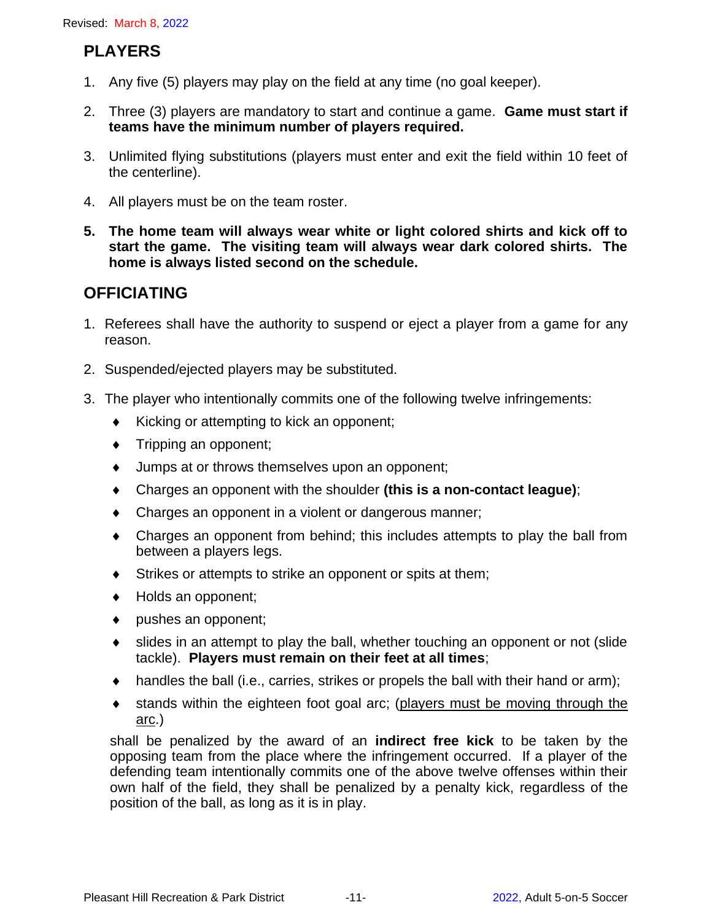# **PLAYERS**

- 1. Any five (5) players may play on the field at any time (no goal keeper).
- 2. Three (3) players are mandatory to start and continue a game. **Game must start if teams have the minimum number of players required.**
- 3. Unlimited flying substitutions (players must enter and exit the field within 10 feet of the centerline).
- 4. All players must be on the team roster.
- **5. The home team will always wear white or light colored shirts and kick off to start the game. The visiting team will always wear dark colored shirts. The home is always listed second on the schedule.**

# **OFFICIATING**

- 1. Referees shall have the authority to suspend or eject a player from a game for any reason.
- 2. Suspended/ejected players may be substituted.
- 3. The player who intentionally commits one of the following twelve infringements:
	- $\bullet$  Kicking or attempting to kick an opponent;
	- $\bullet$  Tripping an opponent;
	- Jumps at or throws themselves upon an opponent;
	- Charges an opponent with the shoulder **(this is a non-contact league)**;
	- Charges an opponent in a violent or dangerous manner;
	- Charges an opponent from behind; this includes attempts to play the ball from between a players legs.
	- Strikes or attempts to strike an opponent or spits at them;
	- ◆ Holds an opponent;
	- pushes an opponent;
	- slides in an attempt to play the ball, whether touching an opponent or not (slide tackle). **Players must remain on their feet at all times**;
	- handles the ball (i.e., carries, strikes or propels the ball with their hand or arm);
	- stands within the eighteen foot goal arc; (players must be moving through the arc.)

shall be penalized by the award of an **indirect free kick** to be taken by the opposing team from the place where the infringement occurred. If a player of the defending team intentionally commits one of the above twelve offenses within their own half of the field, they shall be penalized by a penalty kick, regardless of the position of the ball, as long as it is in play.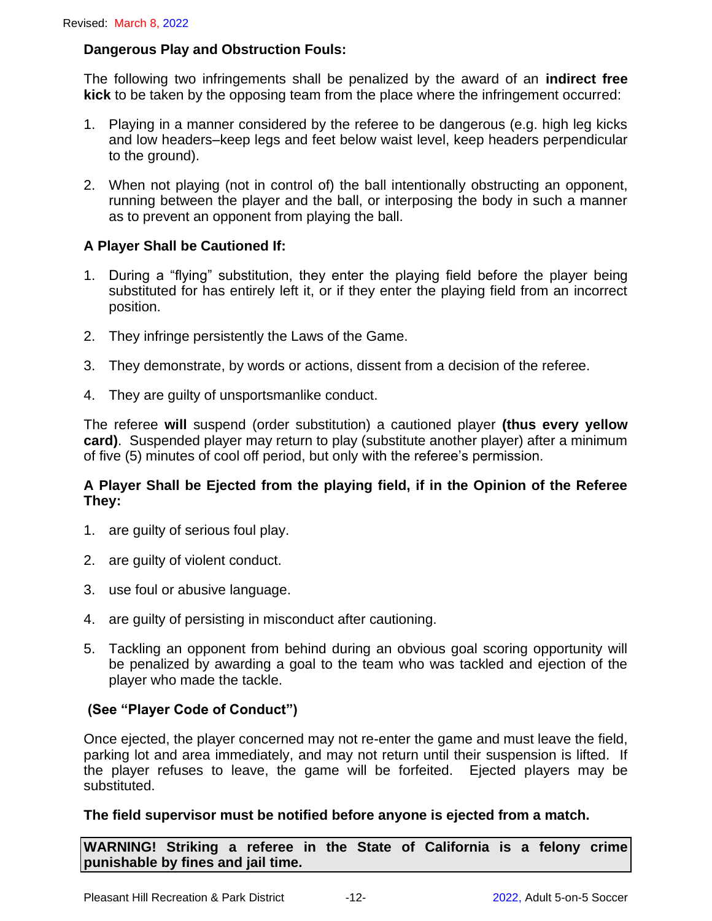#### **Dangerous Play and Obstruction Fouls:**

The following two infringements shall be penalized by the award of an **indirect free kick** to be taken by the opposing team from the place where the infringement occurred:

- 1. Playing in a manner considered by the referee to be dangerous (e.g. high leg kicks and low headers–keep legs and feet below waist level, keep headers perpendicular to the ground).
- 2. When not playing (not in control of) the ball intentionally obstructing an opponent, running between the player and the ball, or interposing the body in such a manner as to prevent an opponent from playing the ball.

#### **A Player Shall be Cautioned If:**

- 1. During a "flying" substitution, they enter the playing field before the player being substituted for has entirely left it, or if they enter the playing field from an incorrect position.
- 2. They infringe persistently the Laws of the Game.
- 3. They demonstrate, by words or actions, dissent from a decision of the referee.
- 4. They are guilty of unsportsmanlike conduct.

The referee **will** suspend (order substitution) a cautioned player **(thus every yellow card)**. Suspended player may return to play (substitute another player) after a minimum of five (5) minutes of cool off period, but only with the referee's permission.

#### **A Player Shall be Ejected from the playing field, if in the Opinion of the Referee They:**

- 1. are guilty of serious foul play.
- 2. are guilty of violent conduct.
- 3. use foul or abusive language.
- 4. are guilty of persisting in misconduct after cautioning.
- 5. Tackling an opponent from behind during an obvious goal scoring opportunity will be penalized by awarding a goal to the team who was tackled and ejection of the player who made the tackle.

#### **(See "Player Code of Conduct")**

Once ejected, the player concerned may not re-enter the game and must leave the field, parking lot and area immediately, and may not return until their suspension is lifted. If the player refuses to leave, the game will be forfeited. Ejected players may be substituted.

#### **The field supervisor must be notified before anyone is ejected from a match.**

**WARNING! Striking a referee in the State of California is a felony crime punishable by fines and jail time.**